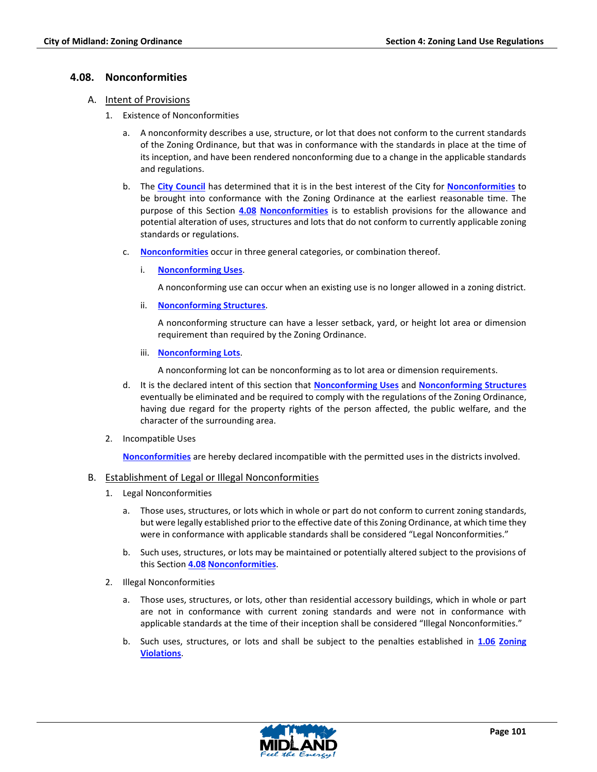## **4.08. Nonconformities**

- A. Intent of Provisions
	- 1. Existence of Nonconformities
		- a. A nonconformity describes a use, structure, or lot that does not conform to the current standards of the Zoning Ordinance, but that was in conformance with the standards in place at the time of its inception, and have been rendered nonconforming due to a change in the applicable standards and regulations.
		- b. The **City Council** has determined that it is in the best interest of the City for **Nonconformities** to be brought into conformance with the Zoning Ordinance at the earliest reasonable time. The purpose of this Section **4.08 Nonconformities** is to establish provisions for the allowance and potential alteration of uses, structures and lots that do not conform to currently applicable zoning standards or regulations.
		- c. **Nonconformities** occur in three general categories, or combination thereof.
			- i. **Nonconforming Uses**.

A nonconforming use can occur when an existing use is no longer allowed in a zoning district.

ii. **Nonconforming Structures**.

A nonconforming structure can have a lesser setback, yard, or height lot area or dimension requirement than required by the Zoning Ordinance.

iii. **Nonconforming Lots**.

A nonconforming lot can be nonconforming as to lot area or dimension requirements.

- d. It is the declared intent of this section that **Nonconforming Uses** and **Nonconforming Structures** eventually be eliminated and be required to comply with the regulations of the Zoning Ordinance, having due regard for the property rights of the person affected, the public welfare, and the character of the surrounding area.
- 2. Incompatible Uses

**Nonconformities** are hereby declared incompatible with the permitted uses in the districts involved.

# B. Establishment of Legal or Illegal Nonconformities

- 1. Legal Nonconformities
	- a. Those uses, structures, or lots which in whole or part do not conform to current zoning standards, but were legally established prior to the effective date of this Zoning Ordinance, at which time they were in conformance with applicable standards shall be considered "Legal Nonconformities."
	- b. Such uses, structures, or lots may be maintained or potentially altered subject to the provisions of this Section **4.08 Nonconformities**.
- 2. Illegal Nonconformities
	- a. Those uses, structures, or lots, other than residential accessory buildings, which in whole or part are not in conformance with current zoning standards and were not in conformance with applicable standards at the time of their inception shall be considered "Illegal Nonconformities."
	- b. Such uses, structures, or lots and shall be subject to the penalties established in **1.06 Zoning Violations**.

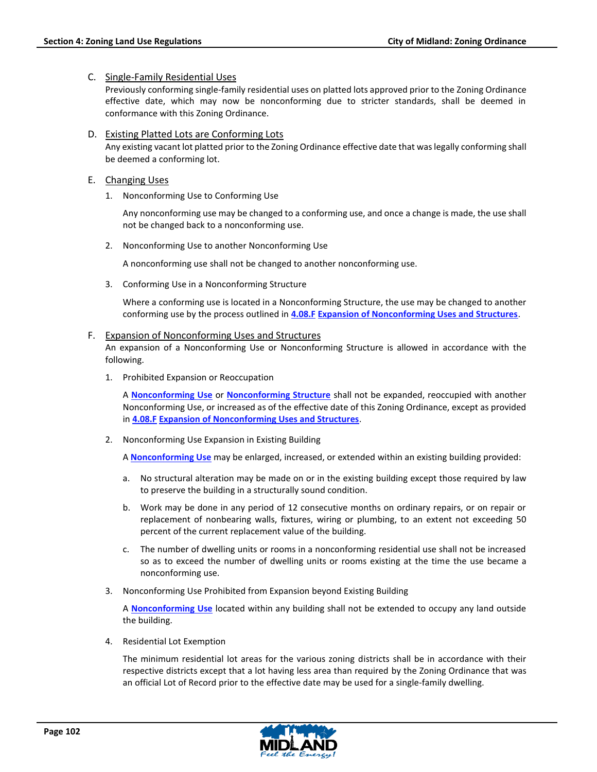## C. Single-Family Residential Uses

Previously conforming single-family residential uses on platted lots approved prior to the Zoning Ordinance effective date, which may now be nonconforming due to stricter standards, shall be deemed in conformance with this Zoning Ordinance.

- D. Existing Platted Lots are Conforming Lots Any existing vacant lot platted prior to the Zoning Ordinance effective date that was legally conforming shall be deemed a conforming lot.
- E. Changing Uses
	- 1. Nonconforming Use to Conforming Use

Any nonconforming use may be changed to a conforming use, and once a change is made, the use shall not be changed back to a nonconforming use.

2. Nonconforming Use to another Nonconforming Use

A nonconforming use shall not be changed to another nonconforming use.

3. Conforming Use in a Nonconforming Structure

Where a conforming use is located in a Nonconforming Structure, the use may be changed to another conforming use by the process outlined in **4.08.F Expansion of Nonconforming Uses and Structures**.

## F. Expansion of Nonconforming Uses and Structures

An expansion of a Nonconforming Use or Nonconforming Structure is allowed in accordance with the following.

1. Prohibited Expansion or Reoccupation

A **Nonconforming Use** or **Nonconforming Structure** shall not be expanded, reoccupied with another Nonconforming Use, or increased as of the effective date of this Zoning Ordinance, except as provided in **4.08.F Expansion of Nonconforming Uses and Structures**.

2. Nonconforming Use Expansion in Existing Building

A **Nonconforming Use** may be enlarged, increased, or extended within an existing building provided:

- a. No structural alteration may be made on or in the existing building except those required by law to preserve the building in a structurally sound condition.
- b. Work may be done in any period of 12 consecutive months on ordinary repairs, or on repair or replacement of nonbearing walls, fixtures, wiring or plumbing, to an extent not exceeding 50 percent of the current replacement value of the building.
- c. The number of dwelling units or rooms in a nonconforming residential use shall not be increased so as to exceed the number of dwelling units or rooms existing at the time the use became a nonconforming use.
- 3. Nonconforming Use Prohibited from Expansion beyond Existing Building

A **Nonconforming Use** located within any building shall not be extended to occupy any land outside the building.

4. Residential Lot Exemption

The minimum residential lot areas for the various zoning districts shall be in accordance with their respective districts except that a lot having less area than required by the Zoning Ordinance that was an official Lot of Record prior to the effective date may be used for a single-family dwelling.

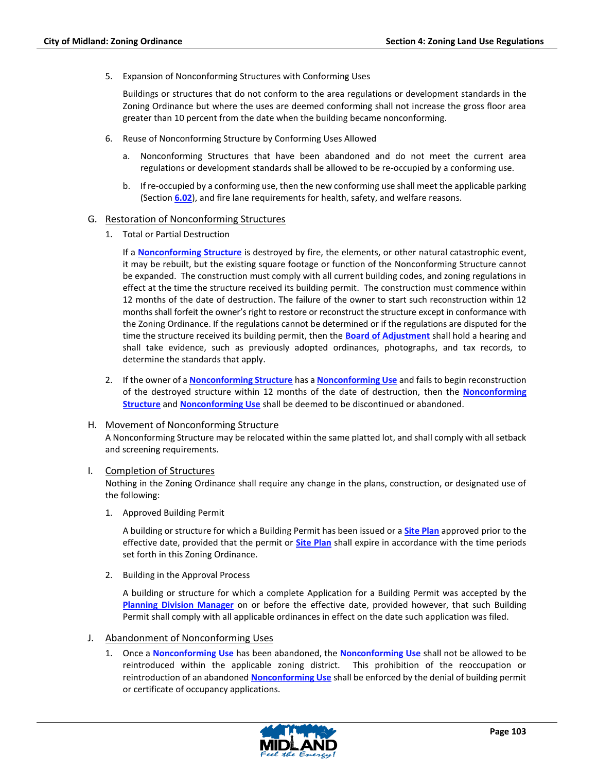5. Expansion of Nonconforming Structures with Conforming Uses

Buildings or structures that do not conform to the area regulations or development standards in the Zoning Ordinance but where the uses are deemed conforming shall not increase the gross floor area greater than 10 percent from the date when the building became nonconforming.

- 6. Reuse of Nonconforming Structure by Conforming Uses Allowed
	- a. Nonconforming Structures that have been abandoned and do not meet the current area regulations or development standards shall be allowed to be re-occupied by a conforming use.
	- b. If re-occupied by a conforming use, then the new conforming use shall meet the applicable parking (Section **6.02**), and fire lane requirements for health, safety, and welfare reasons.

#### G. Restoration of Nonconforming Structures

1. Total or Partial Destruction

If a **Nonconforming Structure** is destroyed by fire, the elements, or other natural catastrophic event, it may be rebuilt, but the existing square footage or function of the Nonconforming Structure cannot be expanded. The construction must comply with all current building codes, and zoning regulations in effect at the time the structure received its building permit. The construction must commence within 12 months of the date of destruction. The failure of the owner to start such reconstruction within 12 months shall forfeit the owner's right to restore or reconstruct the structure except in conformance with the Zoning Ordinance. If the regulations cannot be determined or if the regulations are disputed for the time the structure received its building permit, then the **Board of Adjustment** shall hold a hearing and shall take evidence, such as previously adopted ordinances, photographs, and tax records, to determine the standards that apply.

2. If the owner of a **Nonconforming Structure** has a **Nonconforming Use** and fails to begin reconstruction of the destroyed structure within 12 months of the date of destruction, then the **Nonconforming Structure** and **Nonconforming Use** shall be deemed to be discontinued or abandoned.

## H. Movement of Nonconforming Structure

A Nonconforming Structure may be relocated within the same platted lot, and shall comply with all setback and screening requirements.

## I. Completion of Structures

Nothing in the Zoning Ordinance shall require any change in the plans, construction, or designated use of the following:

1. Approved Building Permit

A building or structure for which a Building Permit has been issued or a **Site Plan** approved prior to the effective date, provided that the permit or **Site Plan** shall expire in accordance with the time periods set forth in this Zoning Ordinance.

2. Building in the Approval Process

A building or structure for which a complete Application for a Building Permit was accepted by the **Planning Division Manager** on or before the effective date, provided however, that such Building Permit shall comply with all applicable ordinances in effect on the date such application was filed.

## J. Abandonment of Nonconforming Uses

1. Once a **Nonconforming Use** has been abandoned, the **Nonconforming Use** shall not be allowed to be reintroduced within the applicable zoning district. This prohibition of the reoccupation or reintroduction of an abandoned **Nonconforming Use** shall be enforced by the denial of building permit or certificate of occupancy applications.

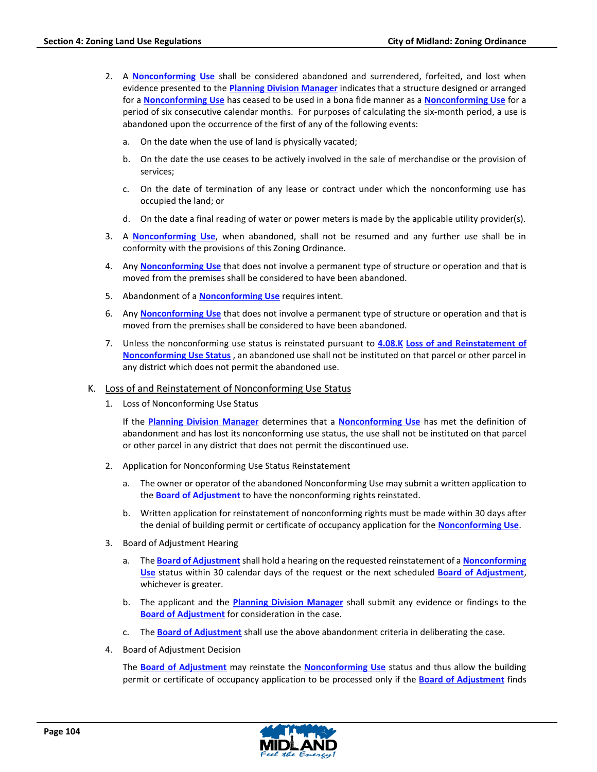- 2. A **Nonconforming Use** shall be considered abandoned and surrendered, forfeited, and lost when evidence presented to the **Planning Division Manager** indicates that a structure designed or arranged for a **Nonconforming Use** has ceased to be used in a bona fide manner as a **Nonconforming Use** for a period of six consecutive calendar months. For purposes of calculating the six-month period, a use is abandoned upon the occurrence of the first of any of the following events:
	- a. On the date when the use of land is physically vacated;
	- b. On the date the use ceases to be actively involved in the sale of merchandise or the provision of services;
	- c. On the date of termination of any lease or contract under which the nonconforming use has occupied the land; or
	- d. On the date a final reading of water or power meters is made by the applicable utility provider(s).
- 3. A **Nonconforming Use**, when abandoned, shall not be resumed and any further use shall be in conformity with the provisions of this Zoning Ordinance.
- 4. Any **Nonconforming Use** that does not involve a permanent type of structure or operation and that is moved from the premises shall be considered to have been abandoned.
- 5. Abandonment of a **Nonconforming Use** requires intent.
- 6. Any **Nonconforming Use** that does not involve a permanent type of structure or operation and that is moved from the premises shall be considered to have been abandoned.
- 7. Unless the nonconforming use status is reinstated pursuant to **4.08.K Loss of and Reinstatement of Nonconforming Use Status** , an abandoned use shall not be instituted on that parcel or other parcel in any district which does not permit the abandoned use.
- K. Loss of and Reinstatement of Nonconforming Use Status
	- 1. Loss of Nonconforming Use Status

If the **Planning Division Manager** determines that a **Nonconforming Use** has met the definition of abandonment and has lost its nonconforming use status, the use shall not be instituted on that parcel or other parcel in any district that does not permit the discontinued use.

- 2. Application for Nonconforming Use Status Reinstatement
	- a. The owner or operator of the abandoned Nonconforming Use may submit a written application to the **Board of Adjustment** to have the nonconforming rights reinstated.
	- b. Written application for reinstatement of nonconforming rights must be made within 30 days after the denial of building permit or certificate of occupancy application for the **Nonconforming Use**.
- 3. Board of Adjustment Hearing
	- a. The **Board of Adjustment** shall hold a hearing on the requested reinstatement of a **Nonconforming Use** status within 30 calendar days of the request or the next scheduled **Board of Adjustment**, whichever is greater.
	- b. The applicant and the **Planning Division Manager** shall submit any evidence or findings to the **Board of Adjustment** for consideration in the case.
	- c. The **Board of Adjustment** shall use the above abandonment criteria in deliberating the case.
- 4. Board of Adjustment Decision

The **Board of Adjustment** may reinstate the **Nonconforming Use** status and thus allow the building permit or certificate of occupancy application to be processed only if the **Board of Adjustment** finds